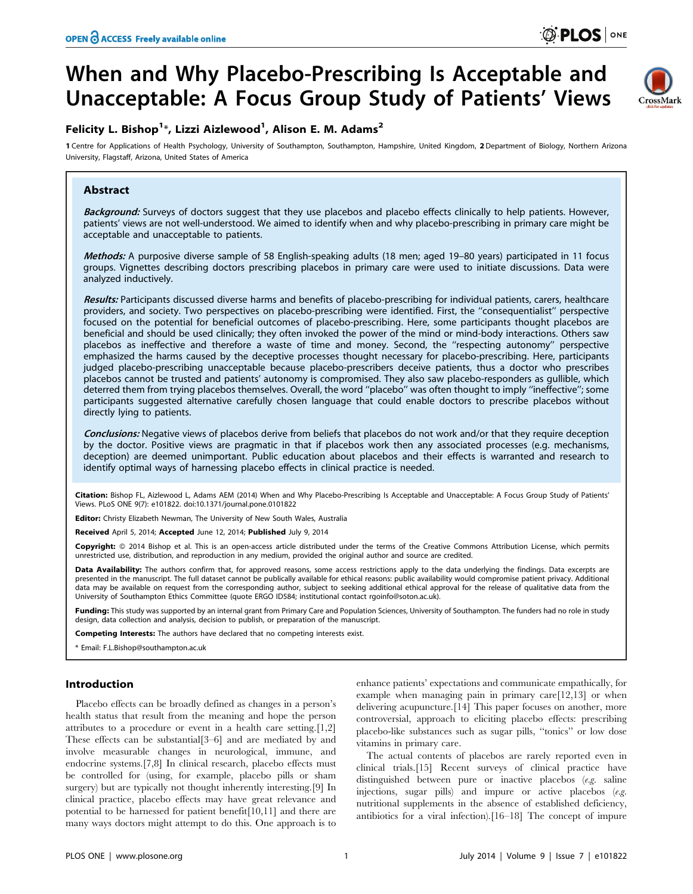# When and Why Placebo-Prescribing Is Acceptable and Unacceptable: A Focus Group Study of Patients' Views

# Felicity L. Bishop $^{1*}$ , Lizzi Aizlewood $^{1}$ , Alison E. M. Adams $^{2}$

1 Centre for Applications of Health Psychology, University of Southampton, Southampton, Hampshire, United Kingdom, 2 Department of Biology, Northern Arizona University, Flagstaff, Arizona, United States of America

# Abstract

Background: Surveys of doctors suggest that they use placebos and placebo effects clinically to help patients. However, patients' views are not well-understood. We aimed to identify when and why placebo-prescribing in primary care might be acceptable and unacceptable to patients.

Methods: A purposive diverse sample of 58 English-speaking adults (18 men; aged 19–80 years) participated in 11 focus groups. Vignettes describing doctors prescribing placebos in primary care were used to initiate discussions. Data were analyzed inductively.

Results: Participants discussed diverse harms and benefits of placebo-prescribing for individual patients, carers, healthcare providers, and society. Two perspectives on placebo-prescribing were identified. First, the ''consequentialist'' perspective focused on the potential for beneficial outcomes of placebo-prescribing. Here, some participants thought placebos are beneficial and should be used clinically; they often invoked the power of the mind or mind-body interactions. Others saw placebos as ineffective and therefore a waste of time and money. Second, the ''respecting autonomy'' perspective emphasized the harms caused by the deceptive processes thought necessary for placebo-prescribing. Here, participants judged placebo-prescribing unacceptable because placebo-prescribers deceive patients, thus a doctor who prescribes placebos cannot be trusted and patients' autonomy is compromised. They also saw placebo-responders as gullible, which deterred them from trying placebos themselves. Overall, the word ''placebo'' was often thought to imply ''ineffective''; some participants suggested alternative carefully chosen language that could enable doctors to prescribe placebos without directly lying to patients.

Conclusions: Negative views of placebos derive from beliefs that placebos do not work and/or that they require deception by the doctor. Positive views are pragmatic in that if placebos work then any associated processes (e.g. mechanisms, deception) are deemed unimportant. Public education about placebos and their effects is warranted and research to identify optimal ways of harnessing placebo effects in clinical practice is needed.

Citation: Bishop FL, Aizlewood L, Adams AEM (2014) When and Why Placebo-Prescribing Is Acceptable and Unacceptable: A Focus Group Study of Patients' Views. PLoS ONE 9(7): e101822. doi:10.1371/journal.pone.0101822

ditor: Christy Elizabeth Newman, The University of New South Wales, Australia

Received April 5, 2014; Accepted June 12, 2014; Published July 9, 2014

Copyright: © 2014 Bishop et al. This is an open-access article distributed under the terms of the [Creative Commons Attribution License](http://creativecommons.org/licenses/by/4.0/), which permits unrestricted use, distribution, and reproduction in any medium, provided the original author and source are credited.

Data Availability: The authors confirm that, for approved reasons, some access restrictions apply to the data underlying the findings. Data excerpts are presented in the manuscript. The full dataset cannot be publically available for ethical reasons: public availability would compromise patient privacy. Additional data may be available on request from the corresponding author, subject to seeking additional ethical approval for the release of qualitative data from the University of Southampton Ethics Committee (quote ERGO ID584; institutional contact<rgoinfo@soton.ac.uk>).

Funding: This study was supported by an internal grant from Primary Care and Population Sciences, University of Southampton. The funders had no role in study design, data collection and analysis, decision to publish, or preparation of the manuscript.

Competing Interests: The authors have declared that no competing interests exist.

\* Email: F.L.Bishop@southampton.ac.uk

#### Introduction

Placebo effects can be broadly defined as changes in a person's health status that result from the meaning and hope the person attributes to a procedure or event in a health care setting.[1,2] These effects can be substantial[3–6] and are mediated by and involve measurable changes in neurological, immune, and endocrine systems.[7,8] In clinical research, placebo effects must be controlled for (using, for example, placebo pills or sham surgery) but are typically not thought inherently interesting.[9] In clinical practice, placebo effects may have great relevance and potential to be harnessed for patient benefit[10,11] and there are many ways doctors might attempt to do this. One approach is to

enhance patients' expectations and communicate empathically, for example when managing pain in primary care[12,13] or when delivering acupuncture.[14] This paper focuses on another, more controversial, approach to eliciting placebo effects: prescribing placebo-like substances such as sugar pills, ''tonics'' or low dose vitamins in primary care.

The actual contents of placebos are rarely reported even in clinical trials.[15] Recent surveys of clinical practice have distinguished between pure or inactive placebos (e.g. saline injections, sugar pills) and impure or active placebos  $(e.g.,)$ nutritional supplements in the absence of established deficiency, antibiotics for a viral infection).[16–18] The concept of impure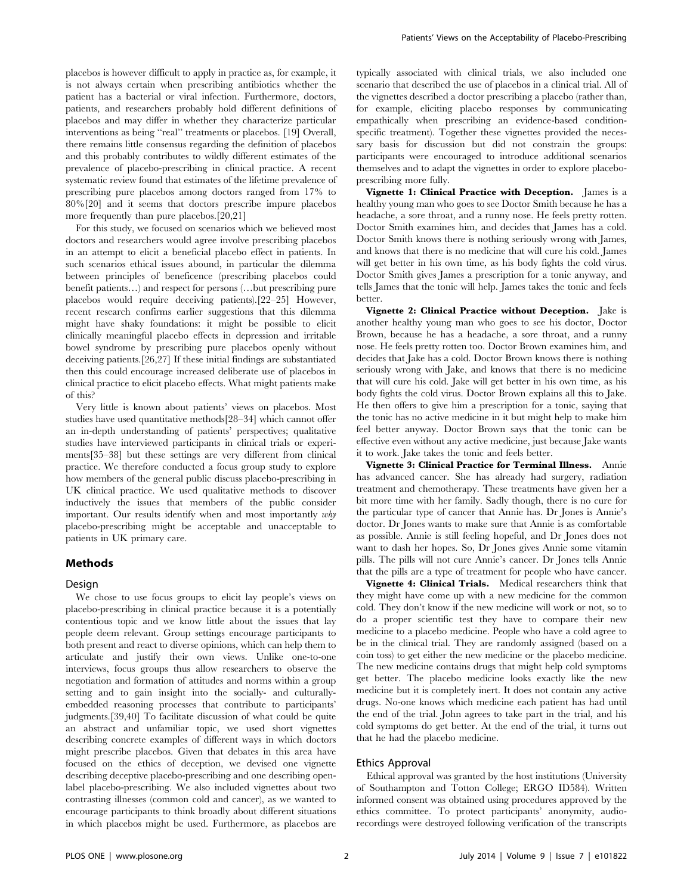placebos is however difficult to apply in practice as, for example, it is not always certain when prescribing antibiotics whether the patient has a bacterial or viral infection. Furthermore, doctors, patients, and researchers probably hold different definitions of placebos and may differ in whether they characterize particular interventions as being ''real'' treatments or placebos. [19] Overall, there remains little consensus regarding the definition of placebos and this probably contributes to wildly different estimates of the prevalence of placebo-prescribing in clinical practice. A recent systematic review found that estimates of the lifetime prevalence of prescribing pure placebos among doctors ranged from 17% to 80%[20] and it seems that doctors prescribe impure placebos more frequently than pure placebos.[20,21]

For this study, we focused on scenarios which we believed most doctors and researchers would agree involve prescribing placebos in an attempt to elicit a beneficial placebo effect in patients. In such scenarios ethical issues abound, in particular the dilemma between principles of beneficence (prescribing placebos could benefit patients…) and respect for persons (…but prescribing pure placebos would require deceiving patients).[22–25] However, recent research confirms earlier suggestions that this dilemma might have shaky foundations: it might be possible to elicit clinically meaningful placebo effects in depression and irritable bowel syndrome by prescribing pure placebos openly without deceiving patients.[26,27] If these initial findings are substantiated then this could encourage increased deliberate use of placebos in clinical practice to elicit placebo effects. What might patients make of this?

Very little is known about patients' views on placebos. Most studies have used quantitative methods[28–34] which cannot offer an in-depth understanding of patients' perspectives; qualitative studies have interviewed participants in clinical trials or experiments[35–38] but these settings are very different from clinical practice. We therefore conducted a focus group study to explore how members of the general public discuss placebo-prescribing in UK clinical practice. We used qualitative methods to discover inductively the issues that members of the public consider important. Our results identify when and most importantly why placebo-prescribing might be acceptable and unacceptable to patients in UK primary care.

#### Methods

#### Design

We chose to use focus groups to elicit lay people's views on placebo-prescribing in clinical practice because it is a potentially contentious topic and we know little about the issues that lay people deem relevant. Group settings encourage participants to both present and react to diverse opinions, which can help them to articulate and justify their own views. Unlike one-to-one interviews, focus groups thus allow researchers to observe the negotiation and formation of attitudes and norms within a group setting and to gain insight into the socially- and culturallyembedded reasoning processes that contribute to participants' judgments.[39,40] To facilitate discussion of what could be quite an abstract and unfamiliar topic, we used short vignettes describing concrete examples of different ways in which doctors might prescribe placebos. Given that debates in this area have focused on the ethics of deception, we devised one vignette describing deceptive placebo-prescribing and one describing openlabel placebo-prescribing. We also included vignettes about two contrasting illnesses (common cold and cancer), as we wanted to encourage participants to think broadly about different situations in which placebos might be used. Furthermore, as placebos are

typically associated with clinical trials, we also included one scenario that described the use of placebos in a clinical trial. All of the vignettes described a doctor prescribing a placebo (rather than, for example, eliciting placebo responses by communicating empathically when prescribing an evidence-based conditionspecific treatment). Together these vignettes provided the necessary basis for discussion but did not constrain the groups: participants were encouraged to introduce additional scenarios themselves and to adapt the vignettes in order to explore placeboprescribing more fully.

Vignette 1: Clinical Practice with Deception. James is a healthy young man who goes to see Doctor Smith because he has a headache, a sore throat, and a runny nose. He feels pretty rotten. Doctor Smith examines him, and decides that James has a cold. Doctor Smith knows there is nothing seriously wrong with James, and knows that there is no medicine that will cure his cold. James will get better in his own time, as his body fights the cold virus. Doctor Smith gives James a prescription for a tonic anyway, and tells James that the tonic will help. James takes the tonic and feels better.

Vignette 2: Clinical Practice without Deception. Jake is another healthy young man who goes to see his doctor, Doctor Brown, because he has a headache, a sore throat, and a runny nose. He feels pretty rotten too. Doctor Brown examines him, and decides that Jake has a cold. Doctor Brown knows there is nothing seriously wrong with Jake, and knows that there is no medicine that will cure his cold. Jake will get better in his own time, as his body fights the cold virus. Doctor Brown explains all this to Jake. He then offers to give him a prescription for a tonic, saying that the tonic has no active medicine in it but might help to make him feel better anyway. Doctor Brown says that the tonic can be effective even without any active medicine, just because Jake wants it to work. Jake takes the tonic and feels better.

Vignette 3: Clinical Practice for Terminal Illness. Annie has advanced cancer. She has already had surgery, radiation treatment and chemotherapy. These treatments have given her a bit more time with her family. Sadly though, there is no cure for the particular type of cancer that Annie has. Dr Jones is Annie's doctor. Dr Jones wants to make sure that Annie is as comfortable as possible. Annie is still feeling hopeful, and Dr Jones does not want to dash her hopes. So, Dr Jones gives Annie some vitamin pills. The pills will not cure Annie's cancer. Dr Jones tells Annie that the pills are a type of treatment for people who have cancer.

Vignette 4: Clinical Trials. Medical researchers think that they might have come up with a new medicine for the common cold. They don't know if the new medicine will work or not, so to do a proper scientific test they have to compare their new medicine to a placebo medicine. People who have a cold agree to be in the clinical trial. They are randomly assigned (based on a coin toss) to get either the new medicine or the placebo medicine. The new medicine contains drugs that might help cold symptoms get better. The placebo medicine looks exactly like the new medicine but it is completely inert. It does not contain any active drugs. No-one knows which medicine each patient has had until the end of the trial. John agrees to take part in the trial, and his cold symptoms do get better. At the end of the trial, it turns out that he had the placebo medicine.

#### Ethics Approval

Ethical approval was granted by the host institutions (University of Southampton and Totton College; ERGO ID584). Written informed consent was obtained using procedures approved by the ethics committee. To protect participants' anonymity, audiorecordings were destroyed following verification of the transcripts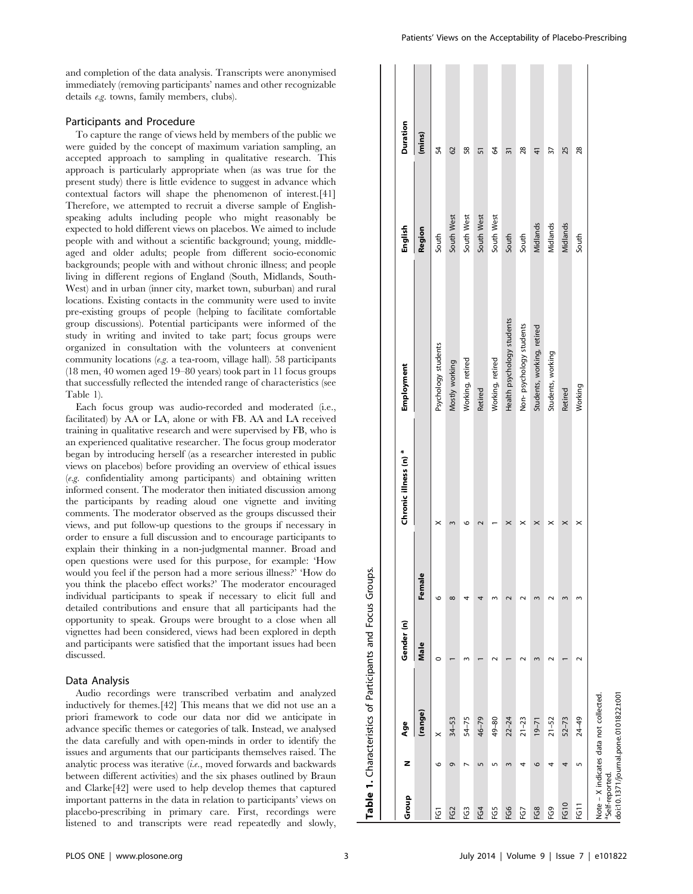and completion of the data analysis. Transcripts were anonymised immediately (removing participants' names and other recognizable details e.g. towns, family members, clubs).

## Participants and Procedure

To capture the range of views held by members of the public we were guided by the concept of maximum variation sampling, an accepted approach to sampling in qualitative research. This approach is particularly appropriate when (as was true for the present study) there is little evidence to suggest in advance which contextual factors will shape the phenomenon of interest.[41] Therefore, we attempted to recruit a diverse sample of Englishspeaking adults including people who might reasonably be expected to hold different views on placebos. We aimed to include people with and without a scientific background; young, middleaged and older adults; people from different socio-economic backgrounds; people with and without chronic illness; and people living in different regions of England (South, Midlands, South-West) and in urban (inner city, market town, suburban) and rural locations. Existing contacts in the community were used to invite pre-existing groups of people (helping to facilitate comfortable group discussions). Potential participants were informed of the study in writing and invited to take part; focus groups were organized in consultation with the volunteers at convenient community locations  $(e.g. a tea-room, village hall)$ . 58 participants (18 men, 40 women aged 19–80 years) took part in 11 focus groups that successfully reflected the intended range of characteristics (see Table 1).

Each focus group was audio-recorded and moderated (i.e., facilitated) by AA or LA, alone or with FB. AA and LA received training in qualitative research and were supervised by FB, who is an experienced qualitative researcher. The focus group moderator began by introducing herself (as a researcher interested in public views on placebos) before providing an overview of ethical issues (e.g. confidentiality among participants) and obtaining written informed consent. The moderator then initiated discussion among the participants by reading aloud one vignette and inviting comments. The moderator observed as the groups discussed their views, and put follow-up questions to the groups if necessary in order to ensure a full discussion and to encourage participants to explain their thinking in a non-judgmental manner. Broad and open questions were used for this purpose, for example: 'How would you feel if the person had a more serious illness?' 'How do you think the placebo effect works?' The moderator encouraged individual participants to speak if necessary to elicit full and detailed contributions and ensure that all participants had the opportunity to speak. Groups were brought to a close when all vignettes had been considered, views had been explored in depth and participants were satisfied that the important issues had been discussed.

#### Data Analysis

Audio recordings were transcribed verbatim and analyzed inductively for themes.[42] This means that we did not use an a priori framework to code our data nor did we anticipate in advance specific themes or categories of talk. Instead, we analysed the data carefully and with open-minds in order to identify the issues and arguments that our participants themselves raised. The analytic process was iterative (i.e., moved forwards and backwards between different activities) and the six phases outlined by Braun and Clarke[42] were used to help develop themes that captured important patterns in the data in relation to participants' views on placebo-prescribing in primary care. First, recordings were listened to and transcripts were read repeatedly and slowly,

| Group           | z | Age                                                                             | Gender (n) |          | Chronic illness (n) <sup>a</sup> | Employment                 | English    | Duration |
|-----------------|---|---------------------------------------------------------------------------------|------------|----------|----------------------------------|----------------------------|------------|----------|
|                 |   | (range)                                                                         | Male       | Female   |                                  |                            | Region     | (mins)   |
| ē               | ৩ | ×                                                                               | $\circ$    | ৩        | ×                                | Psychology students        | South      | 54       |
| FG2             | o | $34 - 53$                                                                       |            | $\infty$ |                                  | Mostly working             | South West | 62       |
| G               |   | $54 - 75$                                                                       |            |          | ء                                | Working, retired           | South West | 58       |
| FG4             |   | $46 - 79$                                                                       |            |          |                                  | Retired                    | South West | 51       |
| FG5             |   | 49-80                                                                           |            |          |                                  | Working, retired           | South West | Z        |
| FG6             |   | $22 - 24$                                                                       |            |          | ×                                | Health psychology students | South      | 31       |
| FG7             |   | $21 - 23$                                                                       |            |          |                                  | Non-psychology students    | South      | 28       |
| FG8             | G | $19 - 71$                                                                       |            |          | ×                                | Students, working, retired | Midlands   | 41       |
| FG9             |   | $21 - 52$                                                                       |            |          | ×                                | Students, working          | Midlands   | 37       |
| FG10            |   | $52 - 73$                                                                       |            |          | ×                                | Retired                    | Midlands   | 25       |
| FG11            | 5 | $24 - 49$                                                                       |            |          | $\boldsymbol{\times}$            | Working                    | South      | 28       |
| aSelf-reported. |   | doi:10.1371/journal.pone.0101822.t001<br>Note - X indicates data not collected. |            |          |                                  |                            |            |          |

Table 1. Characteristics of Participants and Focus Groups.

Table 1. Characteristics of Participants and Focus Groups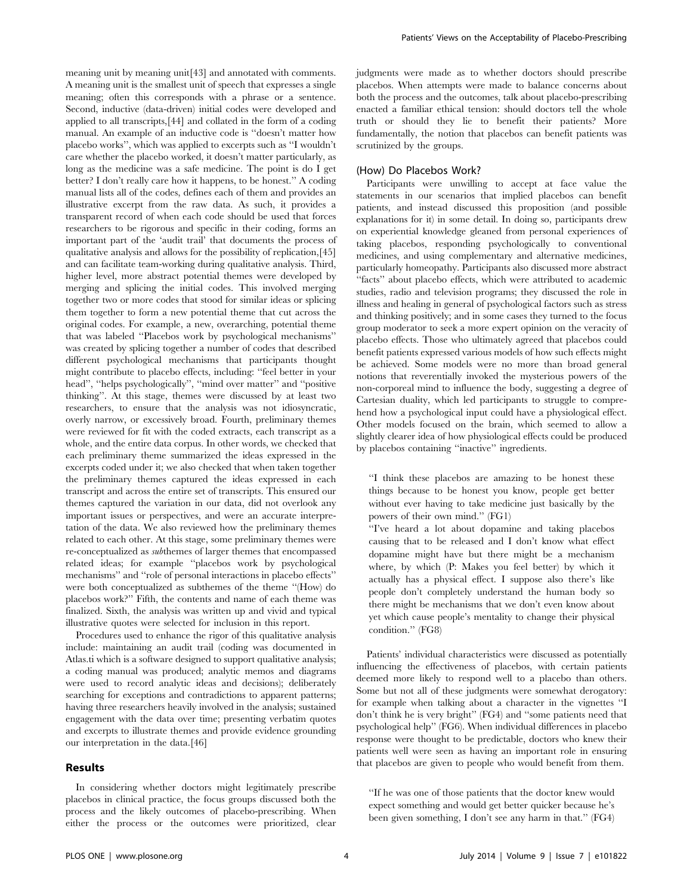meaning unit by meaning unit[43] and annotated with comments. A meaning unit is the smallest unit of speech that expresses a single meaning; often this corresponds with a phrase or a sentence. Second, inductive (data-driven) initial codes were developed and applied to all transcripts,[44] and collated in the form of a coding manual. An example of an inductive code is ''doesn't matter how placebo works'', which was applied to excerpts such as ''I wouldn't care whether the placebo worked, it doesn't matter particularly, as long as the medicine was a safe medicine. The point is do I get better? I don't really care how it happens, to be honest.'' A coding manual lists all of the codes, defines each of them and provides an illustrative excerpt from the raw data. As such, it provides a transparent record of when each code should be used that forces researchers to be rigorous and specific in their coding, forms an important part of the 'audit trail' that documents the process of qualitative analysis and allows for the possibility of replication,[45] and can facilitate team-working during qualitative analysis. Third, higher level, more abstract potential themes were developed by merging and splicing the initial codes. This involved merging together two or more codes that stood for similar ideas or splicing them together to form a new potential theme that cut across the original codes. For example, a new, overarching, potential theme that was labeled ''Placebos work by psychological mechanisms'' was created by splicing together a number of codes that described different psychological mechanisms that participants thought might contribute to placebo effects, including: ''feel better in your head", "helps psychologically", "mind over matter" and "positive thinking''. At this stage, themes were discussed by at least two researchers, to ensure that the analysis was not idiosyncratic, overly narrow, or excessively broad. Fourth, preliminary themes were reviewed for fit with the coded extracts, each transcript as a whole, and the entire data corpus. In other words, we checked that each preliminary theme summarized the ideas expressed in the excerpts coded under it; we also checked that when taken together the preliminary themes captured the ideas expressed in each transcript and across the entire set of transcripts. This ensured our themes captured the variation in our data, did not overlook any important issues or perspectives, and were an accurate interpretation of the data. We also reviewed how the preliminary themes related to each other. At this stage, some preliminary themes were re-conceptualized as subthemes of larger themes that encompassed related ideas; for example ''placebos work by psychological mechanisms'' and ''role of personal interactions in placebo effects'' were both conceptualized as subthemes of the theme ''(How) do placebos work?'' Fifth, the contents and name of each theme was finalized. Sixth, the analysis was written up and vivid and typical illustrative quotes were selected for inclusion in this report.

Procedures used to enhance the rigor of this qualitative analysis include: maintaining an audit trail (coding was documented in Atlas.ti which is a software designed to support qualitative analysis; a coding manual was produced; analytic memos and diagrams were used to record analytic ideas and decisions); deliberately searching for exceptions and contradictions to apparent patterns; having three researchers heavily involved in the analysis; sustained engagement with the data over time; presenting verbatim quotes and excerpts to illustrate themes and provide evidence grounding our interpretation in the data.[46]

#### Results

In considering whether doctors might legitimately prescribe placebos in clinical practice, the focus groups discussed both the process and the likely outcomes of placebo-prescribing. When either the process or the outcomes were prioritized, clear judgments were made as to whether doctors should prescribe placebos. When attempts were made to balance concerns about both the process and the outcomes, talk about placebo-prescribing enacted a familiar ethical tension: should doctors tell the whole truth or should they lie to benefit their patients? More fundamentally, the notion that placebos can benefit patients was scrutinized by the groups.

#### (How) Do Placebos Work?

Participants were unwilling to accept at face value the statements in our scenarios that implied placebos can benefit patients, and instead discussed this proposition (and possible explanations for it) in some detail. In doing so, participants drew on experiential knowledge gleaned from personal experiences of taking placebos, responding psychologically to conventional medicines, and using complementary and alternative medicines, particularly homeopathy. Participants also discussed more abstract ''facts'' about placebo effects, which were attributed to academic studies, radio and television programs; they discussed the role in illness and healing in general of psychological factors such as stress and thinking positively; and in some cases they turned to the focus group moderator to seek a more expert opinion on the veracity of placebo effects. Those who ultimately agreed that placebos could benefit patients expressed various models of how such effects might be achieved. Some models were no more than broad general notions that reverentially invoked the mysterious powers of the non-corporeal mind to influence the body, suggesting a degree of Cartesian duality, which led participants to struggle to comprehend how a psychological input could have a physiological effect. Other models focused on the brain, which seemed to allow a slightly clearer idea of how physiological effects could be produced by placebos containing ''inactive'' ingredients.

''I think these placebos are amazing to be honest these things because to be honest you know, people get better without ever having to take medicine just basically by the powers of their own mind.'' (FG1)

''I've heard a lot about dopamine and taking placebos causing that to be released and I don't know what effect dopamine might have but there might be a mechanism where, by which (P: Makes you feel better) by which it actually has a physical effect. I suppose also there's like people don't completely understand the human body so there might be mechanisms that we don't even know about yet which cause people's mentality to change their physical condition.'' (FG8)

Patients' individual characteristics were discussed as potentially influencing the effectiveness of placebos, with certain patients deemed more likely to respond well to a placebo than others. Some but not all of these judgments were somewhat derogatory: for example when talking about a character in the vignettes ''I don't think he is very bright'' (FG4) and ''some patients need that psychological help'' (FG6). When individual differences in placebo response were thought to be predictable, doctors who knew their patients well were seen as having an important role in ensuring that placebos are given to people who would benefit from them.

''If he was one of those patients that the doctor knew would expect something and would get better quicker because he's been given something, I don't see any harm in that.'' (FG4)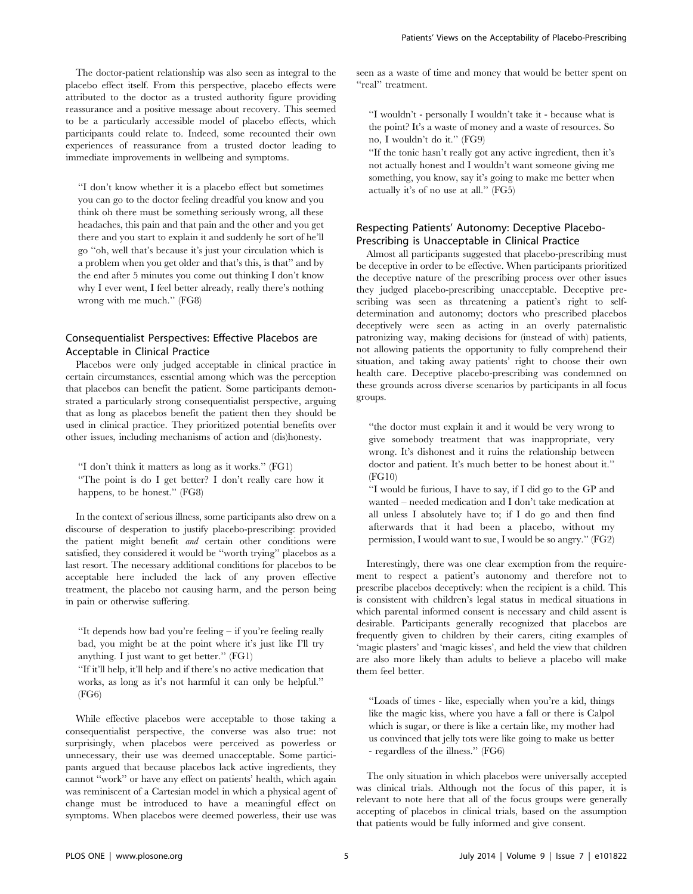The doctor-patient relationship was also seen as integral to the placebo effect itself. From this perspective, placebo effects were attributed to the doctor as a trusted authority figure providing reassurance and a positive message about recovery. This seemed to be a particularly accessible model of placebo effects, which participants could relate to. Indeed, some recounted their own experiences of reassurance from a trusted doctor leading to immediate improvements in wellbeing and symptoms.

''I don't know whether it is a placebo effect but sometimes you can go to the doctor feeling dreadful you know and you think oh there must be something seriously wrong, all these headaches, this pain and that pain and the other and you get there and you start to explain it and suddenly he sort of he'll go ''oh, well that's because it's just your circulation which is a problem when you get older and that's this, is that'' and by the end after 5 minutes you come out thinking I don't know why I ever went, I feel better already, really there's nothing wrong with me much.'' (FG8)

# Consequentialist Perspectives: Effective Placebos are Acceptable in Clinical Practice

Placebos were only judged acceptable in clinical practice in certain circumstances, essential among which was the perception that placebos can benefit the patient. Some participants demonstrated a particularly strong consequentialist perspective, arguing that as long as placebos benefit the patient then they should be used in clinical practice. They prioritized potential benefits over other issues, including mechanisms of action and (dis)honesty.

''I don't think it matters as long as it works.'' (FG1) ''The point is do I get better? I don't really care how it happens, to be honest.'' (FG8)

In the context of serious illness, some participants also drew on a discourse of desperation to justify placebo-prescribing: provided the patient might benefit and certain other conditions were satisfied, they considered it would be ''worth trying'' placebos as a last resort. The necessary additional conditions for placebos to be acceptable here included the lack of any proven effective treatment, the placebo not causing harm, and the person being in pain or otherwise suffering.

''It depends how bad you're feeling – if you're feeling really bad, you might be at the point where it's just like I'll try anything. I just want to get better.'' (FG1)

''If it'll help, it'll help and if there's no active medication that works, as long as it's not harmful it can only be helpful.'' (FG6)

While effective placebos were acceptable to those taking a consequentialist perspective, the converse was also true: not surprisingly, when placebos were perceived as powerless or unnecessary, their use was deemed unacceptable. Some participants argued that because placebos lack active ingredients, they cannot ''work'' or have any effect on patients' health, which again was reminiscent of a Cartesian model in which a physical agent of change must be introduced to have a meaningful effect on symptoms. When placebos were deemed powerless, their use was

seen as a waste of time and money that would be better spent on "real" treatment.

''I wouldn't - personally I wouldn't take it - because what is the point? It's a waste of money and a waste of resources. So no, I wouldn't do it.'' (FG9)

''If the tonic hasn't really got any active ingredient, then it's not actually honest and I wouldn't want someone giving me something, you know, say it's going to make me better when actually it's of no use at all.'' (FG5)

# Respecting Patients' Autonomy: Deceptive Placebo-Prescribing is Unacceptable in Clinical Practice

Almost all participants suggested that placebo-prescribing must be deceptive in order to be effective. When participants prioritized the deceptive nature of the prescribing process over other issues they judged placebo-prescribing unacceptable. Deceptive prescribing was seen as threatening a patient's right to selfdetermination and autonomy; doctors who prescribed placebos deceptively were seen as acting in an overly paternalistic patronizing way, making decisions for (instead of with) patients, not allowing patients the opportunity to fully comprehend their situation, and taking away patients' right to choose their own health care. Deceptive placebo-prescribing was condemned on these grounds across diverse scenarios by participants in all focus groups.

''the doctor must explain it and it would be very wrong to give somebody treatment that was inappropriate, very wrong. It's dishonest and it ruins the relationship between doctor and patient. It's much better to be honest about it.'' (FG10)

''I would be furious, I have to say, if I did go to the GP and wanted – needed medication and I don't take medication at all unless I absolutely have to; if I do go and then find afterwards that it had been a placebo, without my permission, I would want to sue, I would be so angry.'' (FG2)

Interestingly, there was one clear exemption from the requirement to respect a patient's autonomy and therefore not to prescribe placebos deceptively: when the recipient is a child. This is consistent with children's legal status in medical situations in which parental informed consent is necessary and child assent is desirable. Participants generally recognized that placebos are frequently given to children by their carers, citing examples of 'magic plasters' and 'magic kisses', and held the view that children are also more likely than adults to believe a placebo will make them feel better.

''Loads of times - like, especially when you're a kid, things like the magic kiss, where you have a fall or there is Calpol which is sugar, or there is like a certain like, my mother had us convinced that jelly tots were like going to make us better - regardless of the illness.'' (FG6)

The only situation in which placebos were universally accepted was clinical trials. Although not the focus of this paper, it is relevant to note here that all of the focus groups were generally accepting of placebos in clinical trials, based on the assumption that patients would be fully informed and give consent.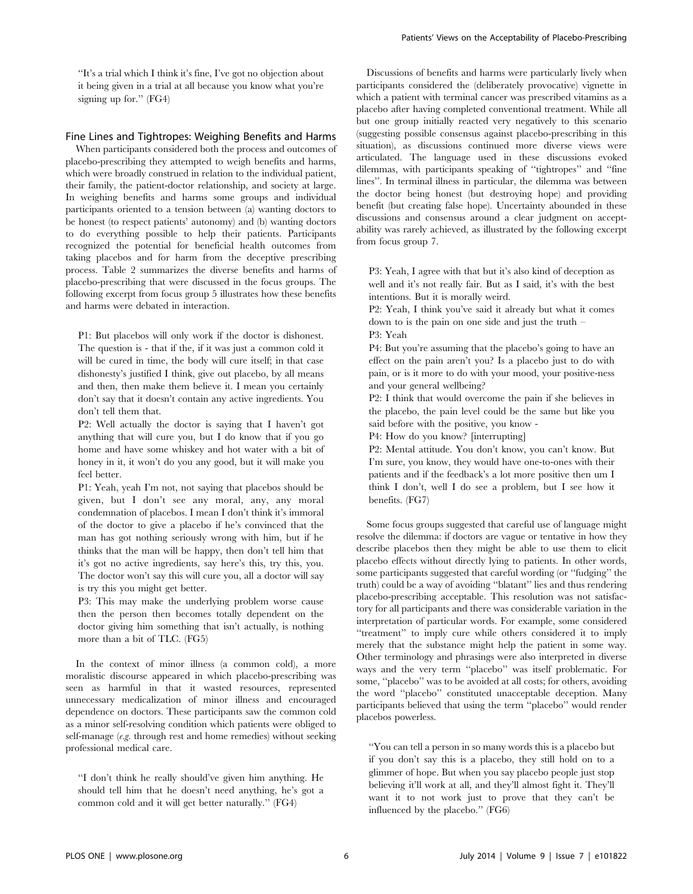''It's a trial which I think it's fine, I've got no objection about it being given in a trial at all because you know what you're signing up for." (FG4)

#### Fine Lines and Tightropes: Weighing Benefits and Harms

When participants considered both the process and outcomes of placebo-prescribing they attempted to weigh benefits and harms, which were broadly construed in relation to the individual patient, their family, the patient-doctor relationship, and society at large. In weighing benefits and harms some groups and individual participants oriented to a tension between (a) wanting doctors to be honest (to respect patients' autonomy) and (b) wanting doctors to do everything possible to help their patients. Participants recognized the potential for beneficial health outcomes from taking placebos and for harm from the deceptive prescribing process. Table 2 summarizes the diverse benefits and harms of placebo-prescribing that were discussed in the focus groups. The following excerpt from focus group 5 illustrates how these benefits and harms were debated in interaction.

P1: But placebos will only work if the doctor is dishonest. The question is - that if the, if it was just a common cold it will be cured in time, the body will cure itself; in that case dishonesty's justified I think, give out placebo, by all means and then, then make them believe it. I mean you certainly don't say that it doesn't contain any active ingredients. You don't tell them that.

P2: Well actually the doctor is saying that I haven't got anything that will cure you, but I do know that if you go home and have some whiskey and hot water with a bit of honey in it, it won't do you any good, but it will make you feel better.

P1: Yeah, yeah I'm not, not saying that placebos should be given, but I don't see any moral, any, any moral condemnation of placebos. I mean I don't think it's immoral of the doctor to give a placebo if he's convinced that the man has got nothing seriously wrong with him, but if he thinks that the man will be happy, then don't tell him that it's got no active ingredients, say here's this, try this, you. The doctor won't say this will cure you, all a doctor will say is try this you might get better.

P3: This may make the underlying problem worse cause then the person then becomes totally dependent on the doctor giving him something that isn't actually, is nothing more than a bit of TLC. (FG5)

In the context of minor illness (a common cold), a more moralistic discourse appeared in which placebo-prescribing was seen as harmful in that it wasted resources, represented unnecessary medicalization of minor illness and encouraged dependence on doctors. These participants saw the common cold as a minor self-resolving condition which patients were obliged to self-manage (e.g. through rest and home remedies) without seeking professional medical care.

''I don't think he really should've given him anything. He should tell him that he doesn't need anything, he's got a common cold and it will get better naturally.'' (FG4)

Discussions of benefits and harms were particularly lively when participants considered the (deliberately provocative) vignette in which a patient with terminal cancer was prescribed vitamins as a placebo after having completed conventional treatment. While all but one group initially reacted very negatively to this scenario (suggesting possible consensus against placebo-prescribing in this situation), as discussions continued more diverse views were articulated. The language used in these discussions evoked dilemmas, with participants speaking of ''tightropes'' and ''fine lines''. In terminal illness in particular, the dilemma was between the doctor being honest (but destroying hope) and providing benefit (but creating false hope). Uncertainty abounded in these discussions and consensus around a clear judgment on acceptability was rarely achieved, as illustrated by the following excerpt from focus group 7.

P3: Yeah, I agree with that but it's also kind of deception as well and it's not really fair. But as I said, it's with the best intentions. But it is morally weird.

P2: Yeah, I think you've said it already but what it comes down to is the pain on one side and just the truth – P3: Yeah

P4: But you're assuming that the placebo's going to have an effect on the pain aren't you? Is a placebo just to do with pain, or is it more to do with your mood, your positive-ness and your general wellbeing?

P2: I think that would overcome the pain if she believes in the placebo, the pain level could be the same but like you said before with the positive, you know -

P4: How do you know? [interrupting]

P2: Mental attitude. You don't know, you can't know. But I'm sure, you know, they would have one-to-ones with their patients and if the feedback's a lot more positive then um I think I don't, well I do see a problem, but I see how it benefits. (FG7)

Some focus groups suggested that careful use of language might resolve the dilemma: if doctors are vague or tentative in how they describe placebos then they might be able to use them to elicit placebo effects without directly lying to patients. In other words, some participants suggested that careful wording (or ''fudging'' the truth) could be a way of avoiding ''blatant'' lies and thus rendering placebo-prescribing acceptable. This resolution was not satisfactory for all participants and there was considerable variation in the interpretation of particular words. For example, some considered "treatment" to imply cure while others considered it to imply merely that the substance might help the patient in some way. Other terminology and phrasings were also interpreted in diverse ways and the very term ''placebo'' was itself problematic. For some, ''placebo'' was to be avoided at all costs; for others, avoiding the word ''placebo'' constituted unacceptable deception. Many participants believed that using the term ''placebo'' would render placebos powerless.

''You can tell a person in so many words this is a placebo but if you don't say this is a placebo, they still hold on to a glimmer of hope. But when you say placebo people just stop believing it'll work at all, and they'll almost fight it. They'll want it to not work just to prove that they can't be influenced by the placebo.'' (FG6)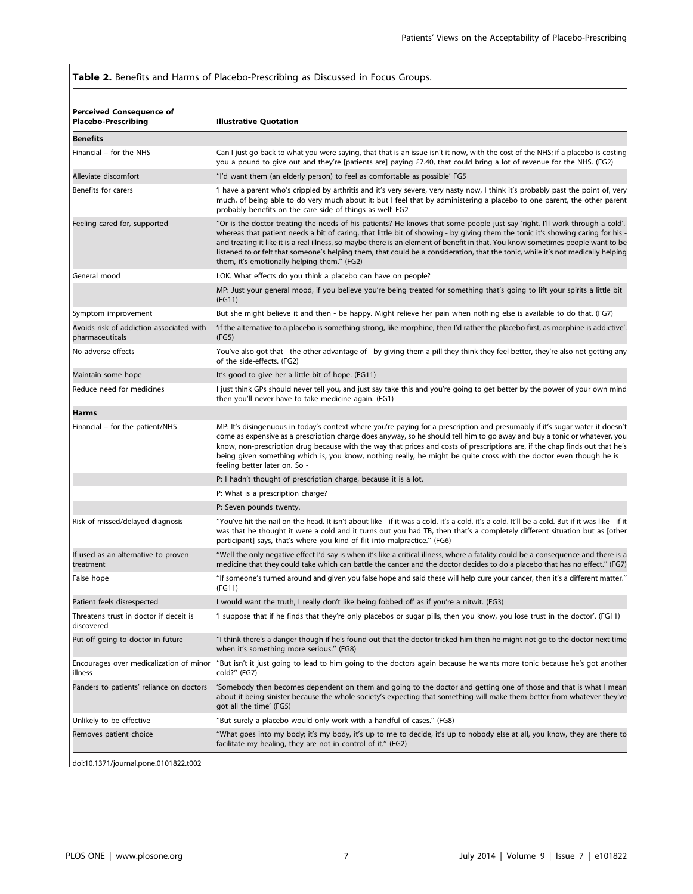# Table 2. Benefits and Harms of Placebo-Prescribing as Discussed in Focus Groups.

| <b>Perceived Consequence of</b><br><b>Placebo-Prescribing</b> | <b>Illustrative Quotation</b>                                                                                                                                                                                                                                                                                                                                                                                                                                                                                                                                                       |
|---------------------------------------------------------------|-------------------------------------------------------------------------------------------------------------------------------------------------------------------------------------------------------------------------------------------------------------------------------------------------------------------------------------------------------------------------------------------------------------------------------------------------------------------------------------------------------------------------------------------------------------------------------------|
| <b>Benefits</b>                                               |                                                                                                                                                                                                                                                                                                                                                                                                                                                                                                                                                                                     |
| Financial – for the NHS                                       | Can I just go back to what you were saying, that that is an issue isn't it now, with the cost of the NHS; if a placebo is costing<br>you a pound to give out and they're [patients are] paying £7.40, that could bring a lot of revenue for the NHS. (FG2)                                                                                                                                                                                                                                                                                                                          |
| Alleviate discomfort                                          | "I'd want them (an elderly person) to feel as comfortable as possible' FG5                                                                                                                                                                                                                                                                                                                                                                                                                                                                                                          |
| Benefits for carers                                           | 'l have a parent who's crippled by arthritis and it's very severe, very nasty now, I think it's probably past the point of, very<br>much, of being able to do very much about it; but I feel that by administering a placebo to one parent, the other parent<br>probably benefits on the care side of things as well' FG2                                                                                                                                                                                                                                                           |
| Feeling cared for, supported                                  | "Or is the doctor treating the needs of his patients? He knows that some people just say 'right, I'll work through a cold'.<br>whereas that patient needs a bit of caring, that little bit of showing - by giving them the tonic it's showing caring for his<br>and treating it like it is a real illness, so maybe there is an element of benefit in that. You know sometimes people want to be<br>listened to or felt that someone's helping them, that could be a consideration, that the tonic, while it's not medically helping<br>them, it's emotionally helping them." (FG2) |
| General mood                                                  | I:OK. What effects do you think a placebo can have on people?                                                                                                                                                                                                                                                                                                                                                                                                                                                                                                                       |
|                                                               | MP: Just your general mood, if you believe you're being treated for something that's going to lift your spirits a little bit<br>(FG11)                                                                                                                                                                                                                                                                                                                                                                                                                                              |
| Symptom improvement                                           | But she might believe it and then - be happy. Might relieve her pain when nothing else is available to do that. (FG7)                                                                                                                                                                                                                                                                                                                                                                                                                                                               |
| Avoids risk of addiction associated with<br>pharmaceuticals   | 'if the alternative to a placebo is something strong, like morphine, then I'd rather the placebo first, as morphine is addictive'.<br>(FG5)                                                                                                                                                                                                                                                                                                                                                                                                                                         |
| No adverse effects                                            | You've also got that - the other advantage of - by giving them a pill they think they feel better, they're also not getting any<br>of the side-effects. (FG2)                                                                                                                                                                                                                                                                                                                                                                                                                       |
| Maintain some hope                                            | It's good to give her a little bit of hope. (FG11)                                                                                                                                                                                                                                                                                                                                                                                                                                                                                                                                  |
| Reduce need for medicines                                     | I just think GPs should never tell you, and just say take this and you're going to get better by the power of your own mind<br>then you'll never have to take medicine again. (FG1)                                                                                                                                                                                                                                                                                                                                                                                                 |
| <b>Harms</b>                                                  |                                                                                                                                                                                                                                                                                                                                                                                                                                                                                                                                                                                     |
| Financial – for the patient/NHS                               | MP: It's disingenuous in today's context where you're paying for a prescription and presumably if it's sugar water it doesn't<br>come as expensive as a prescription charge does anyway, so he should tell him to go away and buy a tonic or whatever, you<br>know, non-prescription drug because with the way that prices and costs of prescriptions are, if the chap finds out that he's<br>being given something which is, you know, nothing really, he might be quite cross with the doctor even though he is<br>feeling better later on. So -                                  |
|                                                               | P: I hadn't thought of prescription charge, because it is a lot.                                                                                                                                                                                                                                                                                                                                                                                                                                                                                                                    |
|                                                               | P: What is a prescription charge?                                                                                                                                                                                                                                                                                                                                                                                                                                                                                                                                                   |
|                                                               | P: Seven pounds twenty.                                                                                                                                                                                                                                                                                                                                                                                                                                                                                                                                                             |
| Risk of missed/delayed diagnosis                              | "You've hit the nail on the head. It isn't about like - if it was a cold, it's a cold, it's a cold. It'll be a cold. But if it was like - if it<br>was that he thought it were a cold and it turns out you had TB, then that's a completely different situation but as [other<br>participant] says, that's where you kind of flit into malpractice." (FG6)                                                                                                                                                                                                                          |
| If used as an alternative to proven<br>treatment              | "Well the only negative effect I'd say is when it's like a critical illness, where a fatality could be a consequence and there is a<br>medicine that they could take which can battle the cancer and the doctor decides to do a placebo that has no effect." (FG7)                                                                                                                                                                                                                                                                                                                  |
| False hope                                                    | "If someone's turned around and given you false hope and said these will help cure your cancer, then it's a different matter."<br>(FG11)                                                                                                                                                                                                                                                                                                                                                                                                                                            |
| Patient feels disrespected                                    | I would want the truth, I really don't like being fobbed off as if you're a nitwit. (FG3)                                                                                                                                                                                                                                                                                                                                                                                                                                                                                           |
| Threatens trust in doctor if deceit is<br>discovered          | 'l suppose that if he finds that they're only placebos or sugar pills, then you know, you lose trust in the doctor'. (FG11)                                                                                                                                                                                                                                                                                                                                                                                                                                                         |
| Put off going to doctor in future                             | "I think there's a danger though if he's found out that the doctor tricked him then he might not go to the doctor next time<br>when it's something more serious." (FG8)                                                                                                                                                                                                                                                                                                                                                                                                             |
| Encourages over medicalization of minor<br>illness            | "But isn't it just going to lead to him going to the doctors again because he wants more tonic because he's got another<br>cold?" (FG7)                                                                                                                                                                                                                                                                                                                                                                                                                                             |
| Panders to patients' reliance on doctors                      | 'Somebody then becomes dependent on them and going to the doctor and getting one of those and that is what I mean<br>about it being sinister because the whole society's expecting that something will make them better from whatever they've<br>got all the time' (FG5)                                                                                                                                                                                                                                                                                                            |
| Unlikely to be effective                                      | "But surely a placebo would only work with a handful of cases." (FG8)                                                                                                                                                                                                                                                                                                                                                                                                                                                                                                               |
| Removes patient choice                                        | "What goes into my body; it's my body, it's up to me to decide, it's up to nobody else at all, you know, they are there to<br>facilitate my healing, they are not in control of it." (FG2)                                                                                                                                                                                                                                                                                                                                                                                          |

doi:10.1371/journal.pone.0101822.t002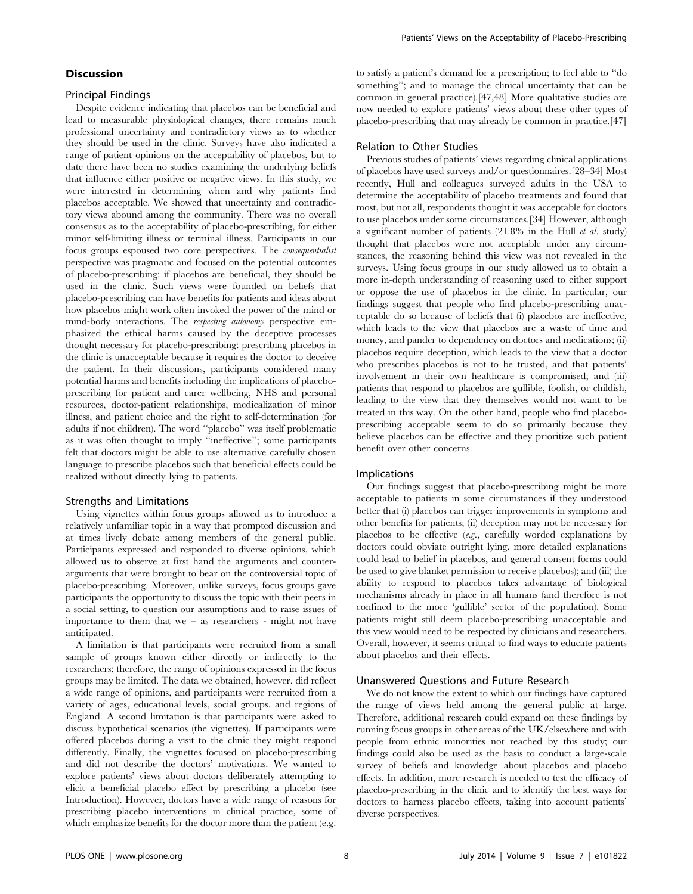#### Discussion

#### Principal Findings

Despite evidence indicating that placebos can be beneficial and lead to measurable physiological changes, there remains much professional uncertainty and contradictory views as to whether they should be used in the clinic. Surveys have also indicated a range of patient opinions on the acceptability of placebos, but to date there have been no studies examining the underlying beliefs that influence either positive or negative views. In this study, we were interested in determining when and why patients find placebos acceptable. We showed that uncertainty and contradictory views abound among the community. There was no overall consensus as to the acceptability of placebo-prescribing, for either minor self-limiting illness or terminal illness. Participants in our focus groups espoused two core perspectives. The consequentialist perspective was pragmatic and focused on the potential outcomes of placebo-prescribing: if placebos are beneficial, they should be used in the clinic. Such views were founded on beliefs that placebo-prescribing can have benefits for patients and ideas about how placebos might work often invoked the power of the mind or mind-body interactions. The respecting autonomy perspective emphasized the ethical harms caused by the deceptive processes thought necessary for placebo-prescribing: prescribing placebos in the clinic is unacceptable because it requires the doctor to deceive the patient. In their discussions, participants considered many potential harms and benefits including the implications of placeboprescribing for patient and carer wellbeing, NHS and personal resources, doctor-patient relationships, medicalization of minor illness, and patient choice and the right to self-determination (for adults if not children). The word ''placebo'' was itself problematic as it was often thought to imply ''ineffective''; some participants felt that doctors might be able to use alternative carefully chosen language to prescribe placebos such that beneficial effects could be realized without directly lying to patients.

# Strengths and Limitations

Using vignettes within focus groups allowed us to introduce a relatively unfamiliar topic in a way that prompted discussion and at times lively debate among members of the general public. Participants expressed and responded to diverse opinions, which allowed us to observe at first hand the arguments and counterarguments that were brought to bear on the controversial topic of placebo-prescribing. Moreover, unlike surveys, focus groups gave participants the opportunity to discuss the topic with their peers in a social setting, to question our assumptions and to raise issues of importance to them that we – as researchers - might not have anticipated.

A limitation is that participants were recruited from a small sample of groups known either directly or indirectly to the researchers; therefore, the range of opinions expressed in the focus groups may be limited. The data we obtained, however, did reflect a wide range of opinions, and participants were recruited from a variety of ages, educational levels, social groups, and regions of England. A second limitation is that participants were asked to discuss hypothetical scenarios (the vignettes). If participants were offered placebos during a visit to the clinic they might respond differently. Finally, the vignettes focused on placebo-prescribing and did not describe the doctors' motivations. We wanted to explore patients' views about doctors deliberately attempting to elicit a beneficial placebo effect by prescribing a placebo (see Introduction). However, doctors have a wide range of reasons for prescribing placebo interventions in clinical practice, some of which emphasize benefits for the doctor more than the patient (e.g.

to satisfy a patient's demand for a prescription; to feel able to ''do something''; and to manage the clinical uncertainty that can be common in general practice).[47,48] More qualitative studies are now needed to explore patients' views about these other types of placebo-prescribing that may already be common in practice.[47]

#### Relation to Other Studies

Previous studies of patients' views regarding clinical applications of placebos have used surveys and/or questionnaires.[28–34] Most recently, Hull and colleagues surveyed adults in the USA to determine the acceptability of placebo treatments and found that most, but not all, respondents thought it was acceptable for doctors to use placebos under some circumstances.[34] However, although a significant number of patients  $(21.8\%$  in the Hull *et al.* study) thought that placebos were not acceptable under any circumstances, the reasoning behind this view was not revealed in the surveys. Using focus groups in our study allowed us to obtain a more in-depth understanding of reasoning used to either support or oppose the use of placebos in the clinic. In particular, our findings suggest that people who find placebo-prescribing unacceptable do so because of beliefs that (i) placebos are ineffective, which leads to the view that placebos are a waste of time and money, and pander to dependency on doctors and medications; (ii) placebos require deception, which leads to the view that a doctor who prescribes placebos is not to be trusted, and that patients' involvement in their own healthcare is compromised; and (iii) patients that respond to placebos are gullible, foolish, or childish, leading to the view that they themselves would not want to be treated in this way. On the other hand, people who find placeboprescribing acceptable seem to do so primarily because they believe placebos can be effective and they prioritize such patient benefit over other concerns.

## Implications

Our findings suggest that placebo-prescribing might be more acceptable to patients in some circumstances if they understood better that (i) placebos can trigger improvements in symptoms and other benefits for patients; (ii) deception may not be necessary for placebos to be effective  $(e.g., \text{ carefully worded explanations by})$ doctors could obviate outright lying, more detailed explanations could lead to belief in placebos, and general consent forms could be used to give blanket permission to receive placebos); and (iii) the ability to respond to placebos takes advantage of biological mechanisms already in place in all humans (and therefore is not confined to the more 'gullible' sector of the population). Some patients might still deem placebo-prescribing unacceptable and this view would need to be respected by clinicians and researchers. Overall, however, it seems critical to find ways to educate patients about placebos and their effects.

#### Unanswered Questions and Future Research

We do not know the extent to which our findings have captured the range of views held among the general public at large. Therefore, additional research could expand on these findings by running focus groups in other areas of the UK/elsewhere and with people from ethnic minorities not reached by this study; our findings could also be used as the basis to conduct a large-scale survey of beliefs and knowledge about placebos and placebo effects. In addition, more research is needed to test the efficacy of placebo-prescribing in the clinic and to identify the best ways for doctors to harness placebo effects, taking into account patients' diverse perspectives.